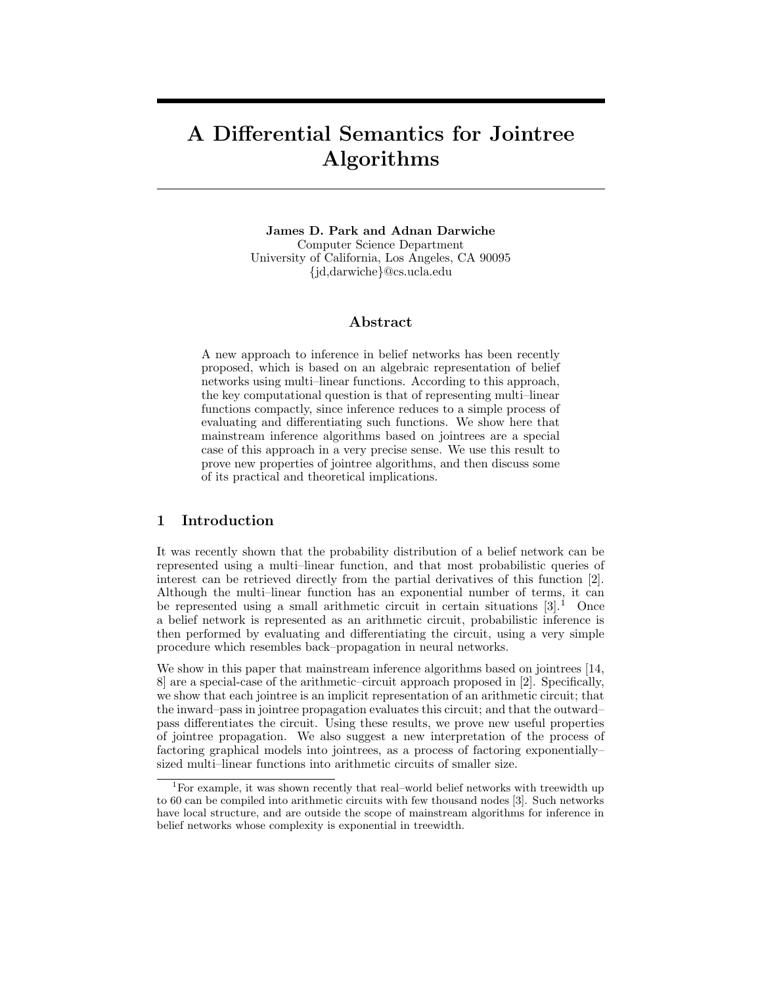# A Differential Semantics for Jointree Algorithms

James D. Park and Adnan Darwiche Computer Science Department University of California, Los Angeles, CA 90095 {jd,darwiche}@cs.ucla.edu

### Abstract

A new approach to inference in belief networks has been recently proposed, which is based on an algebraic representation of belief networks using multi–linear functions. According to this approach, the key computational question is that of representing multi–linear functions compactly, since inference reduces to a simple process of evaluating and differentiating such functions. We show here that mainstream inference algorithms based on jointrees are a special case of this approach in a very precise sense. We use this result to prove new properties of jointree algorithms, and then discuss some of its practical and theoretical implications.

## 1 Introduction

It was recently shown that the probability distribution of a belief network can be represented using a multi–linear function, and that most probabilistic queries of interest can be retrieved directly from the partial derivatives of this function  $[2]$ . Although the multi–linear function has an exponential number of terms, it can be represented using a small arithmetic circuit in certain situations  $[3].<sup>1</sup>$  Once a belief network is represented as an arithmetic circuit, probabilistic inference is then performed by evaluating and differentiating the circuit, using a very simple procedure which resembles back–propagation in neural networks.

We show in this paper that mainstream inference algorithms based on jointrees [14, 8] are a special-case of the arithmetic–circuit approach proposed in [2]. Specifically, we show that each jointree is an implicit representation of an arithmetic circuit; that the inward–pass in jointree propagation evaluates this circuit; and that the outward– pass differentiates the circuit. Using these results, we prove new useful properties of jointree propagation. W e also suggest a new interpretation of the process of factoring graphical models into jointrees, as a process of factoring exponentially– sized multi–linear functions into arithmetic circuits of smaller size.

 ${}^{1}$ For example, it was shown recently that real–world belief networks with treewidth up to 60 can be compiled into arithmetic circuits with few thousand nodes [3]. Such networks have local structure, and are outside the scope of mainstream algorithms for inference in belief networks whose complexity is exponential in treewidth.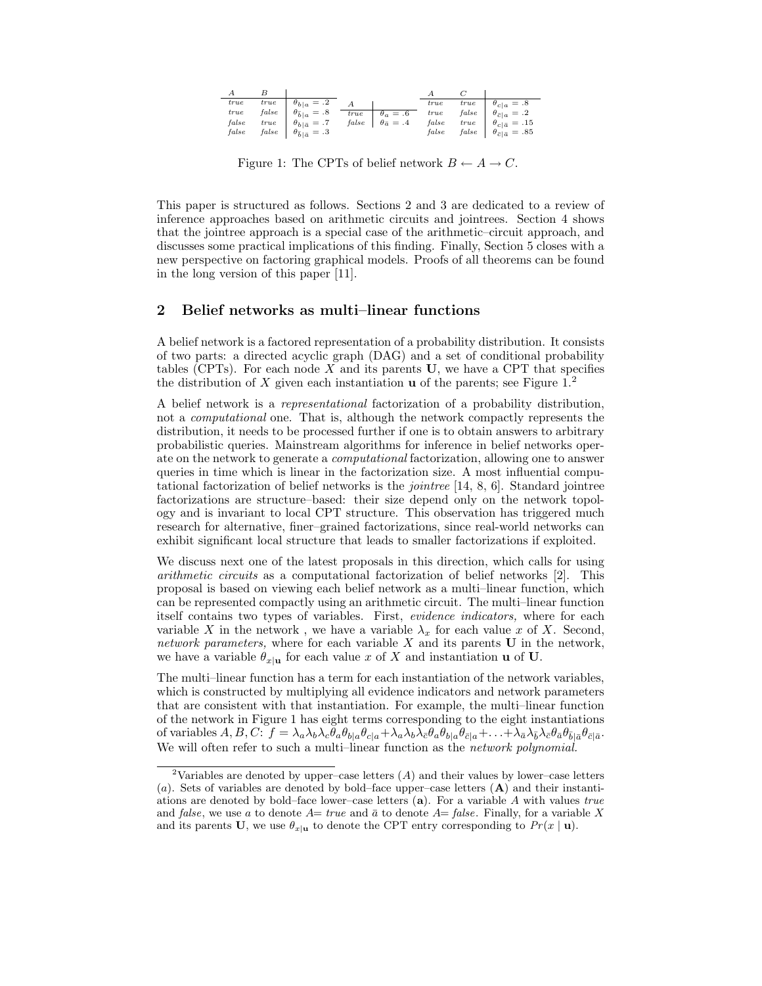| true  | true $\theta_{b a} = .2$ A             |                               | true  | true $\theta_{c a} = .8$                     |
|-------|----------------------------------------|-------------------------------|-------|----------------------------------------------|
| true  | <i>false</i> $\theta_{\bar{b} a} = .8$ | true $\theta_a = .6$          | true  | false $\theta_{\bar{c} a} = .2$              |
| false | true $\theta_{b \bar{a}} = .7$         | false $\theta_{\bar{a}} = .4$ | false | true $\theta_{c \bar{a}} = .15$              |
| false | false $\theta_{\bar{b} \bar{a}}=.3$    |                               |       | false false $\theta_{\bar{c} \bar{a}} = .85$ |

Figure 1: The CPTs of belief network  $B \leftarrow A \rightarrow C$ .

This paper is structured as follows. Sections 2 and 3 are dedicated to a review of inference approaches based on arithmetic circuits and jointrees. Section 4 shows that the jointree approach is a special case of the arithmetic–circuit approach, and discusses some practical implications of this finding. Finally, Section 5 closes with a new perspective on factoring graphical models. Proofs of all theorems can be found in the long version of this paper [11].

### 2 Belief networks as multi-linear functions

A belief network is a factored representation of a probability distribution. It consists of two parts: a directed acyclic graph (DAG) and a set of conditional probability tables (CPTs). For each node  $X$  and its parents  $U$ , we have a CPT that specifies the distribution of X given each instantiation **u** of the parents; see Figure  $1<sup>2</sup>$ 

A belief network is a representational factorization of a probability distribution, not a computational one. That is, although the network compactly represents the distribution, it needs to be processed further if one is to obtain answers to arbitrary probabilistic queries. Mainstream algorithms for inference in belief networks operate on the network to generate a computational factorization, allowing one to answer queries in time which is linear in the factorization size. A most influential computational factorization of belief networks is the jointree [14, 8, 6]. Standard jointree factorizations are structure–based: their size depend only on the network topology and is invariant to local CPT structure. This observation has triggered much research for alternative, finer–grained factorizations, since real-world networks can exhibit significant local structure that leads to smaller factorizations if exploited.

W e discuss next one of the latest proposals in this direction, which calls for using arithmetic circuits as a computational factorization of belief networks [2]. This proposal is based on viewing each belief network as a multi–linear function, which can be represented compactly using an arithmetic circuit. The multi–linear function itself contains two types of variables. First, evidence indicators, where for each variable X in the network, we have a variable  $\lambda_x$  for each value x of X. Second, network parameters, where for each variable  $X$  and its parents  $U$  in the network, we have a variable  $\theta_{x|\mathbf{u}}$  for each value x of X and instantiation **u** of **U**.

The multi–linear function has a term for each instantiation of the network variables, which is constructed by multiplying all evidence indicators and network parameters that are consistent with that instantiation. For example, the multi–linear function of the network in Figure 1 has eight terms corresponding to the eight instantiations of variables  $A, B, C: f = \lambda_a \lambda_b \lambda_c \theta_a \theta_{b|a} \theta_{c|a} + \lambda_a \lambda_b \lambda_{\bar{c}} \theta_a \theta_{b|a} \theta_{\bar{c}|a} + \ldots + \lambda_{\bar{a}} \lambda_{\bar{b}} \lambda_{\bar{c}} \theta_{\bar{a}} \theta_{\bar{b}|\bar{a}} \theta_{\bar{c}|\bar{a}}$ . We will often refer to such a multi-linear function as the *network polynomial*.

<sup>&</sup>lt;sup>2</sup>Variables are denoted by upper–case letters  $(A)$  and their values by lower–case letters (a). Sets of variables are denoted by bold–face upper–case letters  $(A)$  and their instantiations are denoted by bold–face lower–case letters  $(a)$ . For a variable A with values true and false, we use a to denote  $A= true$  and  $\bar{a}$  to denote  $A= false$ . Finally, for a variable X and its parents U, we use  $\theta_{x|\mathbf{u}}$  to denote the CPT entry corresponding to  $Pr(x | \mathbf{u})$ .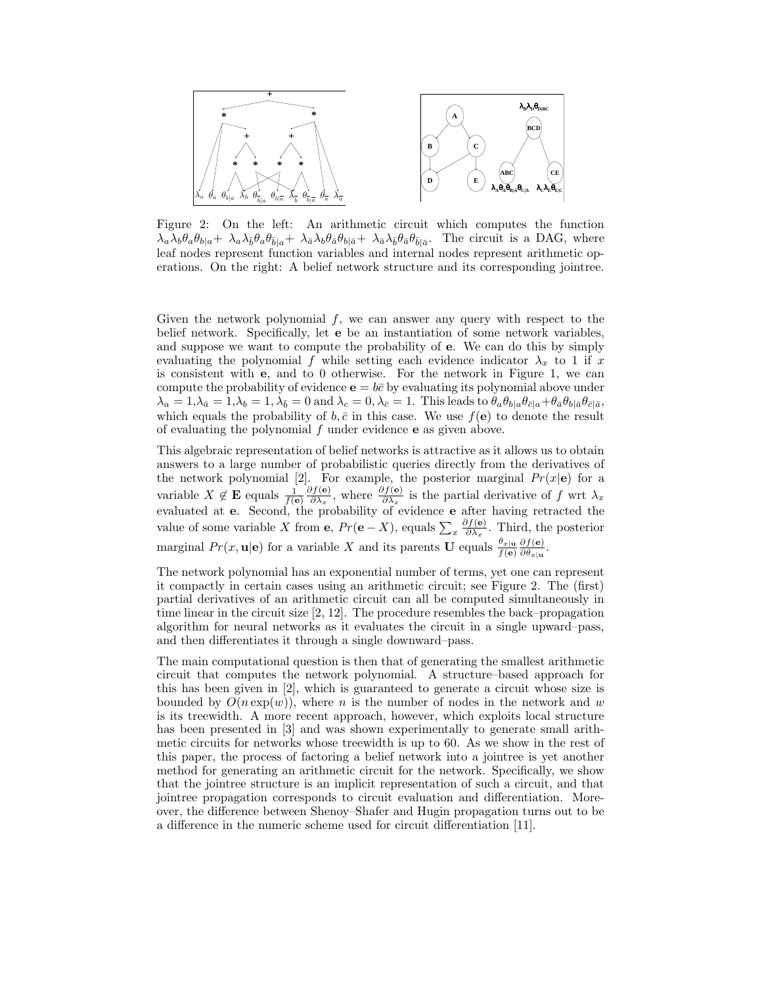

Figure 2: On the left: An arithmetic circuit which computes the function  $\lambda_a\lambda_b\theta_a\theta_{b|a}+\lambda_a\lambda_{\bar{b}}\theta_a\theta_{\bar{b}|a}+\lambda_{\bar{a}}\lambda_b\theta_{\bar{a}}\theta_{b|\bar{a}}+\lambda_{\bar{a}}\lambda_{\bar{b}}\theta_{\bar{a}}\theta_{\bar{b}|\bar{a}}$ . The circuit is a DAG, where leaf nodes represent function variables and internal nodes represent arithmetic operations. On the right: A belief network structure and its corresponding jointree.

Given the network polynomial  $f$ , we can answer any query with respect to the belief network. Specifically, let e be an instantiation of some network variables, and suppose we want to compute the probability of e. We can do this by simply evaluating the polynomial f while setting each evidence indicator  $\lambda_x$  to 1 if x is consistent with e, and to 0 otherwise. For the network in Figure 1, we can compute the probability of evidence  $\mathbf{e} = b\bar{c}$  by evaluating its polynomial above under  $\lambda_a = 1, \lambda_{\bar{a}} = 1, \lambda_b = 1, \lambda_{\bar{b}} = 0$  and  $\lambda_c = 0, \lambda_{\bar{c}} = 1$ . This leads to  $\theta_a \theta_{b|a} \theta_{\bar{c}|a} + \theta_{\bar{a}} \theta_{b|\bar{a}} \theta_{\bar{c}|\bar{a}},$ which equals the probability of  $b, \bar{c}$  in this case. We use  $f(\mathbf{e})$  to denote the result of evaluating the polynomial  $f$  under evidence  $e$  as given above.

This algebraic representation of belief networks is attractive as it allows us to obtain answers to a large number of probabilistic queries directly from the derivatives of the network polynomial [2]. For example, the posterior marginal  $Pr(x|\mathbf{e})$  for a variable  $X \not\in \mathbf{E}$  equals  $\frac{1}{f(\mathbf{e})}$  $\partial f(\mathbf{e})$  $\frac{\partial f(\mathbf{e})}{\partial \lambda_x}$ , where  $\frac{\partial f(\mathbf{e})}{\partial \lambda_x}$  is the partial derivative of f wrt  $\lambda_x$ evaluated at e. Second, the probability of evidence e after having retracted the value of some variable X from **e**,  $Pr(e - X)$ , equals  $\sum_{x} \frac{\partial f(e)}{\partial \lambda_x}$  $\frac{\partial f(\mathbf{e})}{\partial \lambda_x}$ . Third, the posterior marginal  $Pr(x, \mathbf{u}|\mathbf{e})$  for a variable X and its parents U equals  $\frac{\theta_{x|\mathbf{u}}}{f(\mathbf{e})}$  $\partial f(\mathbf{e})$  $\frac{\partial f(\mathbf{e})}{\partial \theta_{x|\mathbf{u}}}.$ 

The network polynomial has an exponential number of terms, yet one can represent it compactly in certain cases using an arithmetic circuit; see Figure 2. The (first) partial derivatives of an arithmetic circuit can all be computed simultaneously in time linear in the circuit size [2, 12]. The procedure resembles the back–propagation algorithm for neural networks as it evaluates the circuit in a single upward–pass, and then differentiates it through a single downward–pass.

The main computational question is then that of generating the smallest arithmetic circuit that computes the network polynomial. A structure–based approach for this has been given in [2], which is guaranteed to generate a circuit whose size is bounded by  $O(n \exp(w))$ , where n is the number of nodes in the network and w is its treewidth. A more recent approach, however, which exploits local structure has been presented in [3] and was shown experimentally to generate small arithmetic circuits for networks whose treewidth is up to 60. As we show in the rest of this paper, the process of factoring a belief network into a jointree is yet another method for generating an arithmetic circuit for the network. Specifically, we show that the jointree structure is an implicit representation of such a circuit, and that jointree propagation corresponds to circuit evaluation and differentiation. Moreover, the difference between Shenoy–Shafer and Hugin propagation turns out to be a difference in the numeric scheme used for circuit differentiation [11].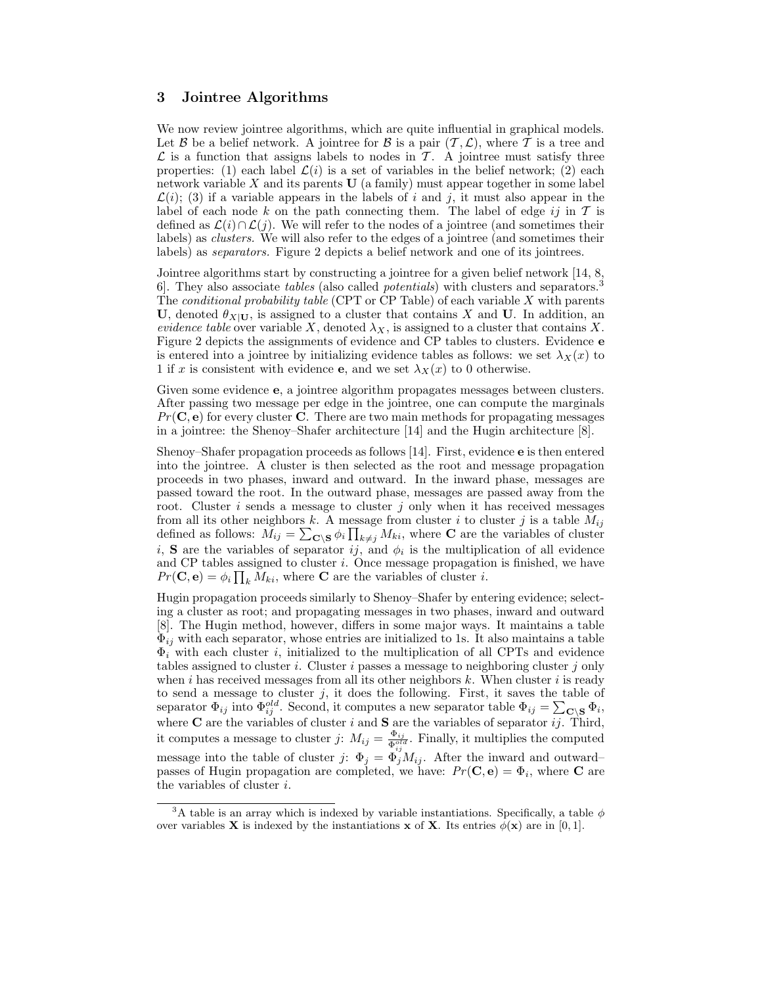#### 3 Jointree Algorithms

We now review jointree algorithms, which are quite influential in graphical models. Let B be a belief network. A jointree for B is a pair  $(\mathcal{T}, \mathcal{L})$ , where T is a tree and  $\mathcal L$  is a function that assigns labels to nodes in  $\mathcal T$ . A jointree must satisfy three properties: (1) each label  $\mathcal{L}(i)$  is a set of variables in the belief network; (2) each network variable  $X$  and its parents  $U$  (a family) must appear together in some label  $\mathcal{L}(i)$ ; (3) if a variable appears in the labels of i and j, it must also appear in the label of each node k on the path connecting them. The label of edge ij in  $T$  is defined as  $\mathcal{L}(i) \cap \mathcal{L}(j)$ . We will refer to the nodes of a jointree (and sometimes their labels) as *clusters*. We will also refer to the edges of a jointree (and sometimes their labels) as separators. Figure 2 depicts a belief network and one of its jointrees.

Jointree algorithms start by constructing a jointree for a given belief network [14, 8, 6. They also associate *tables* (also called *potentials*) with clusters and separators.<sup>3</sup> The *conditional probability table* (CPT or CP Table) of each variable  $X$  with parents U, denoted  $\theta_{X|U}$ , is assigned to a cluster that contains X and U. In addition, an evidence table over variable X, denoted  $\lambda_X$ , is assigned to a cluster that contains X. Figure 2 depicts the assignments of evidence and CP tables to clusters. Evidence e is entered into a jointree by initializing evidence tables as follows: we set  $\lambda_X(x)$  to 1 if x is consistent with evidence **e**, and we set  $\lambda_X(x)$  to 0 otherwise.

Given some evidence e, a jointree algorithm propagates messages between clusters. After passing two message per edge in the jointree, one can compute the marginals  $Pr(C, e)$  for every cluster C. There are two main methods for propagating messages in a jointree: the Shenoy–Shafer architecture [14] and the Hugin architecture [8].

Shenoy–Shafer propagation proceeds as follows [14]. First, evidence e is then entered into the jointree. A cluster is then selected as the root and message propagation proceeds in two phases, inward and outward. In the inward phase, messages are passed toward the root. In the outward phase, messages are passed away from the root. Cluster  $i$  sends a message to cluster  $j$  only when it has received messages from all its other neighbors k. A message from cluster i to cluster j is a table  $M_{ij}$ defined as follows:  $\widetilde{M}_{ij} = \sum_{\substack{\mathbf{C} \setminus \mathbf{S}}} \phi_i \prod_{k \neq j} M_{ki}$ , where **C** are the variables of cluster i, S are the variables of separator ij, and  $\phi_i$  is the multiplication of all evidence and CP tables assigned to cluster  $i$ . Once message propagation is finished, we have  $Pr(\mathbf{C}, \mathbf{e}) = \phi_i \prod_k \widetilde{M}_{ki}$ , where **C** are the variables of cluster *i*.

Hugin propagation proceeds similarly to Shenoy–Shafer by entering evidence; selecting a cluster as root; and propagating messages in two phases, inward and outward [8]. The Hugin method, however, differs in some major ways. It maintains a table  $\Phi_{ij}$  with each separator, whose entries are initialized to 1s. It also maintains a table  $\Phi_i$  with each cluster i, initialized to the multiplication of all CPTs and evidence tables assigned to cluster i. Cluster i passes a message to neighboring cluster j only when i has received messages from all its other neighbors  $k$ . When cluster i is ready to send a message to cluster  $j$ , it does the following. First, it saves the table of separator  $\Phi_{ij}$  into  $\Phi_{ij}^{old}$ . Second, it computes a new separator table  $\Phi_{ij} = \sum_{\mathbf{C}\setminus\mathbf{S}} \Phi_i$ , where **C** are the variables of cluster i and **S** are the variables of separator ij. Third, it computes a message to cluster j:  $M_{ij} = \frac{\Phi_{ij}}{\Phi_{ij}^{old}}$ . Finally, it multiplies the computed message into the table of cluster j:  $\Phi_j = \Phi_j M_{ij}$ . After the inward and outward– passes of Hugin propagation are completed, we have:  $Pr(\mathbf{C}, \mathbf{e}) = \Phi_i$ , where **C** are the variables of cluster i.

<sup>&</sup>lt;sup>3</sup>A table is an array which is indexed by variable instantiations. Specifically, a table  $\phi$ over variables **X** is indexed by the instantiations **x** of **X**. Its entries  $\phi(\mathbf{x})$  are in [0, 1].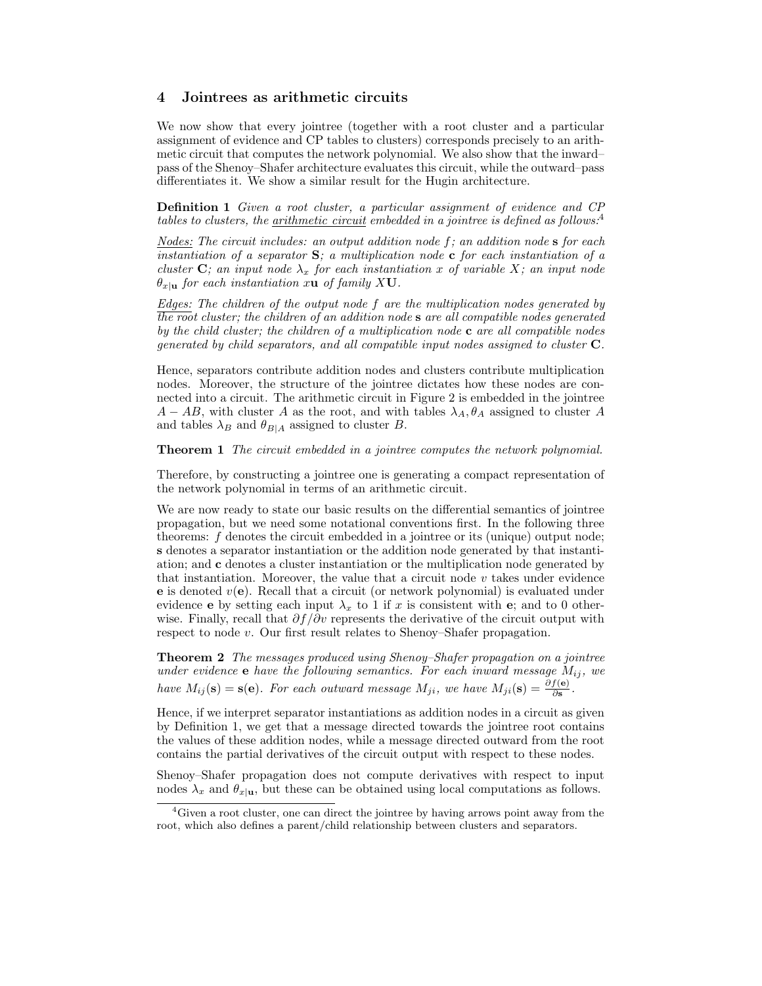#### 4 Jointrees as arithmetic circuits

We now show that every jointree (together with a root cluster and a particular assignment of evidence and CP tables to clusters) corresponds precisely to an arithmetic circuit that computes the network polynomial. We also show that the inward– pass of the Shenoy–Shafer architecture evaluates this circuit, while the outward–pass differentiates it. We show a similar result for the Hugin architecture.

Definition 1 Given a root cluster, a particular assignment of evidence and CP tables to clusters, the arithmetic circuit embedded in a jointree is defined as follows:<sup>4</sup>

Nodes: The circuit includes: an output addition node  $f$ ; an addition node  $s$  for each instantiation of a separator  $S$ ; a multiplication node c for each instantiation of a cluster C; an input node  $\lambda_x$  for each instantiation x of variable X; an input node  $\theta_{x|y}$  for each instantiation xu of family XU.

Edges: The children of the output node f are the multiplication nodes generated by the root cluster; the children of an addition node s are all compatible nodes generated by the child cluster; the children of a multiplication node  $c$  are all compatible nodes generated by child separators, and all compatible input nodes assigned to cluster C.

Hence, separators contribute addition nodes and clusters contribute multiplication nodes. Moreover, the structure of the jointree dictates how these nodes are connected into a circuit. The arithmetic circuit in Figure 2 is embedded in the jointree  $A - AB$ , with cluster A as the root, and with tables  $\lambda_A, \theta_A$  assigned to cluster A and tables  $\lambda_B$  and  $\theta_{B|A}$  assigned to cluster B.

Theorem 1 The circuit embedded in a jointree computes the network polynomial.

Therefore, by constructing a jointree one is generating a compact representation of the network polynomial in terms of an arithmetic circuit.

We are now ready to state our basic results on the differential semantics of jointree propagation, but we need some notational conventions first. In the following three theorems: f denotes the circuit embedded in a jointree or its (unique) output node; s denotes a separator instantiation or the addition node generated by that instantiation; and c denotes a cluster instantiation or the multiplication node generated by that instantiation. Moreover, the value that a circuit node  $v$  takes under evidence **e** is denoted  $v(e)$ . Recall that a circuit (or network polynomial) is evaluated under evidence e by setting each input  $\lambda_x$  to 1 if x is consistent with e; and to 0 otherwise. Finally, recall that  $\partial f / \partial v$  represents the derivative of the circuit output with respect to node v. Our first result relates to Shenoy–Shafer propagation.

Theorem 2 The messages produced using Shenoy–Shafer propagation on a jointree under evidence e have the following semantics. For each inward message  $M_{ij}$ , we have  $M_{ij}(\mathbf{s}) = \mathbf{s}(\mathbf{e})$ . For each outward message  $M_{ji}$ , we have  $M_{ji}(\mathbf{s}) = \frac{\partial f(\mathbf{e})}{\partial \mathbf{s}}$ .

Hence, if we interpret separator instantiations as addition nodes in a circuit as given by Definition 1, we get that a message directed towards the jointree root contains the values of these addition nodes, while a message directed outward from the root contains the partial derivatives of the circuit output with respect to these nodes.

Shenoy–Shafer propagation does not compute derivatives with respect to input nodes  $\lambda_x$  and  $\theta_{x|u}$ , but these can be obtained using local computations as follows.

 $4$ Given a root cluster, one can direct the jointree by having arrows point away from the root, which also defines a parent/child relationship between clusters and separators.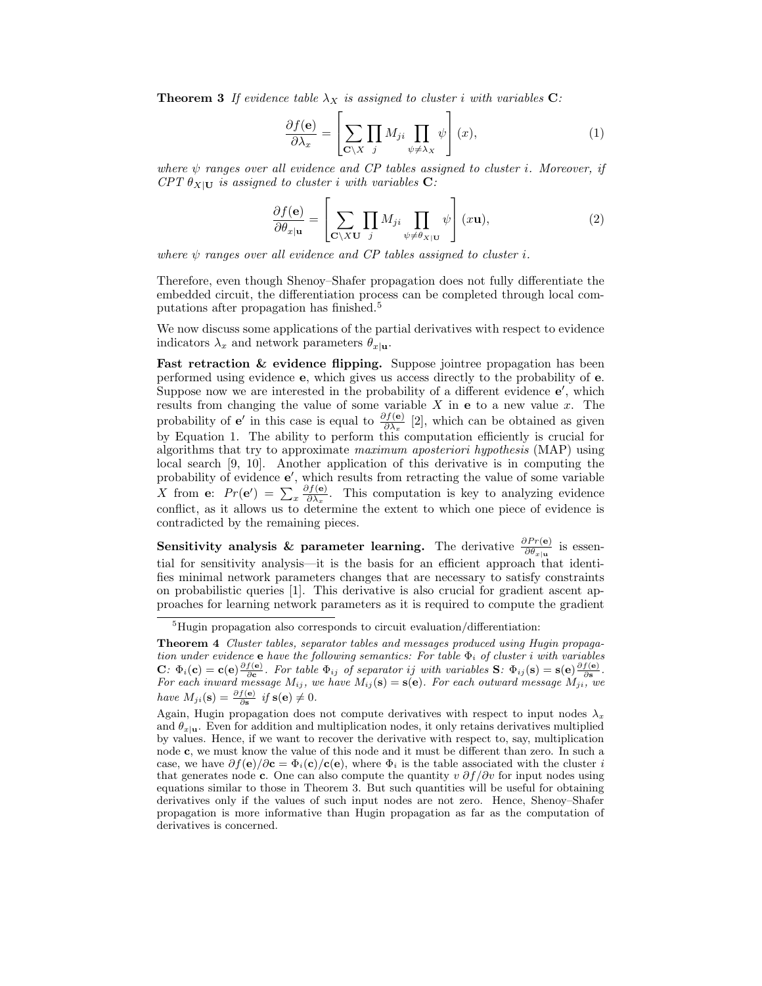**Theorem 3** If evidence table  $\lambda_X$  is assigned to cluster i with variables C:

$$
\frac{\partial f(\mathbf{e})}{\partial \lambda_x} = \left[ \sum_{\mathbf{C} \setminus X} \prod_j M_{ji} \prod_{\psi \neq \lambda_X} \psi \right] (x), \tag{1}
$$

where  $\psi$  ranges over all evidence and CP tables assigned to cluster i. Moreover, if CPT  $\theta_{X|U}$  is assigned to cluster i with variables C:

$$
\frac{\partial f(\mathbf{e})}{\partial \theta_{x|\mathbf{u}}} = \left[ \sum_{\mathbf{C} \setminus X\mathbf{U}} \prod_j M_{ji} \prod_{\psi \neq \theta_{X|\mathbf{U}}} \psi \right] (x\mathbf{u}), \tag{2}
$$

where  $\psi$  ranges over all evidence and CP tables assigned to cluster i.

Therefore, even though Shenoy–Shafer propagation does not fully differentiate the embedded circuit, the differentiation process can be completed through local computations after propagation has finished.<sup>5</sup>

We now discuss some applications of the partial derivatives with respect to evidence indicators  $\lambda_x$  and network parameters  $\theta_{x|y}$ .

Fast retraction  $&\&$  evidence flipping. Suppose jointree propagation has been performed using evidence e, which gives us access directly to the probability of e. Suppose now we are interested in the probability of a different evidence  $e'$ , which results from changing the value of some variable  $X$  in  $e$  to a new value  $x$ . The probability of **e**' in this case is equal to  $\frac{\partial f(\mathbf{e})}{\partial \lambda_x}$  [2], which can be obtained as given by Equation 1. The ability to perform this computation efficiently is crucial for algorithms that try to approximate maximum aposteriori hypothesis  $(MAP)$  using local search [9, 10]. Another application of this derivative is in computing the probability of evidence  $e'$ , which results from retracting the value of some variable X from e:  $Pr(e') = \sum_{x} \frac{\partial f(e)}{\partial \lambda_x}$  $\frac{\partial f(\mathbf{e})}{\partial \lambda_x}$ . This computation is key to analyzing evidence conflict, as it allows us to determine the extent to which one piece of evidence is contradicted by the remaining pieces.

Sensitivity analysis & parameter learning. The derivative  $\frac{\partial Pr(\mathbf{e})}{\partial \theta_{x|\mathbf{u}}}$  is essential for sensitivity analysis—it is the basis for an efficient approach that identifies minimal network parameters changes that are necessary to satisfy constraints on probabilistic queries [1]. This derivative is also crucial for gradient ascent approaches for learning network parameters as it is required to compute the gradient

 ${}^{5}$ Hugin propagation also corresponds to circuit evaluation/differentiation:

Theorem 4 Cluster tables, separator tables and messages produced using Hugin propagation under evidence e have the following semantics: For table  $\Phi_i$  of cluster i with variables **C**:  $\Phi_i(\mathbf{c}) = \mathbf{c}(\mathbf{e}) \frac{\partial f(\mathbf{e})}{\partial \mathbf{c}}$ . For table  $\Phi_{ij}$  of separator ij with variables **S**:  $\Phi_{ij}(\mathbf{s}) = \mathbf{s}(\mathbf{e}) \frac{\partial f(\mathbf{e})}{\partial \mathbf{s}}$ . For each inward message  $M_{ij}$ , we have  $M_{ij}(\mathbf{s}) = \mathbf{s}(\mathbf{e})$ . For each outward message  $M_{ji}$ , we have  $M_{ji}(\mathbf{s}) = \frac{\partial f(\mathbf{e})}{\partial \mathbf{s}}$  if  $\mathbf{s}(\mathbf{e}) \neq 0$ .

Again, Hugin propagation does not compute derivatives with respect to input nodes  $\lambda_x$ and  $\theta_{x|\mathbf{u}}$ . Even for addition and multiplication nodes, it only retains derivatives multiplied by values. Hence, if we want to recover the derivative with respect to, say, multiplication node  $c$ , we must know the value of this node and it must be different than zero. In such a case, we have  $\partial f(\mathbf{e})/\partial \mathbf{c} = \Phi_i(\mathbf{c})/\mathbf{c}(\mathbf{e})$ , where  $\Phi_i$  is the table associated with the cluster i that generates node c. One can also compute the quantity v  $\partial f / \partial v$  for input nodes using equations similar to those in Theorem 3. But such quantities will be useful for obtaining derivatives only if the values of such input nodes are not zero. Hence, Shenoy–Shafer propagation is more informative than Hugin propagation as far as the computation of derivatives is concerned.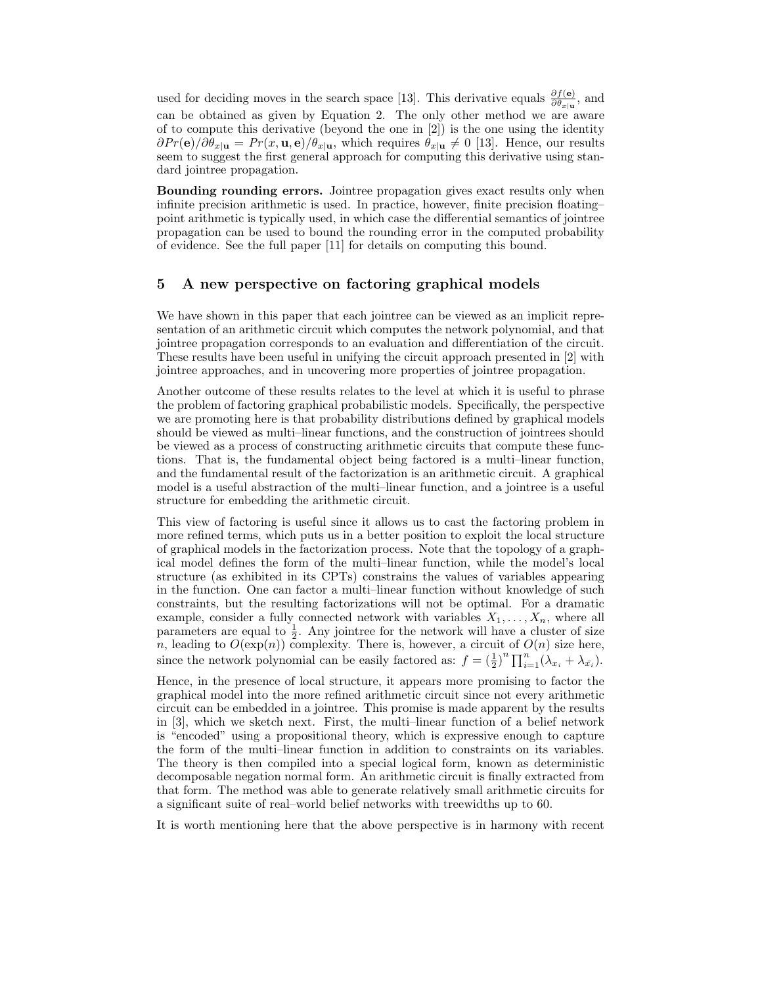used for deciding moves in the search space [13]. This derivative equals  $\frac{\partial f(\mathbf{e})}{\partial \theta_{x|\mathbf{u}}},$  and can be obtained as given by Equation 2. The only other method we are aware of to compute this derivative (beyond the one in [2]) is the one using the identity  $\partial Pr(\mathbf{e})/\partial \theta_{x|\mathbf{u}} = Pr(x, \mathbf{u}, \mathbf{e})/\theta_{x|\mathbf{u}}$ , which requires  $\theta_{x|\mathbf{u}} \neq 0$  [13]. Hence, our results seem to suggest the first general approach for computing this derivative using standard jointree propagation.

Bounding rounding errors. Jointree propagation gives exact results only when infinite precision arithmetic is used. In practice, however, finite precision floating– point arithmetic is typically used, in which case the differential semantics of jointree propagation can be used to bound the rounding error in the computed probability of evidence. See the full paper [11] for details on computing this bound.

## 5 A new perspective on factoring graphical models

We have shown in this paper that each jointree can be viewed as an implicit representation of an arithmetic circuit which computes the network polynomial, and that jointree propagation corresponds to an evaluation and differentiation of the circuit. These results have been useful in unifying the circuit approach presented in [2] with jointree approaches, and in uncovering more properties of jointree propagation.

Another outcome of these results relates to the level at which it is useful to phrase the problem of factoring graphical probabilistic models. Specifically, the perspective we are promoting here is that probability distributions defined by graphical models should be viewed as multi–linear functions, and the construction of jointrees should be viewed as a process of constructing arithmetic circuits that compute these functions. That is, the fundamental object being factored is a multi–linear function, and the fundamental result of the factorization is an arithmetic circuit. A graphical model is a useful abstraction of the multi–linear function, and a jointree is a useful structure for embedding the arithmetic circuit.

This view of factoring is useful since it allows us to cast the factoring problem in more refined terms, which puts us in a better position to exploit the local structure of graphical models in the factorization process. Note that the topology of a graphical model defines the form of the multi–linear function, while the model's local structure (as exhibited in its CPTs) constrains the values of variables appearing in the function. One can factor a multi–linear function without knowledge of such constraints, but the resulting factorizations will not be optimal. For a dramatic example, consider a fully connected network with variables  $X_1, \ldots, X_n$ , where all parameters are equal to  $\frac{1}{2}$ . Any jointree for the network will have a cluster of size n, leading to  $O(\exp(n))$  complexity. There is, however, a circuit of  $O(n)$  size here, since the network polynomial can be easily factored as:  $f = \left(\frac{1}{2}\right)^n \prod_{i=1}^n (\lambda_{x_i} + \lambda_{\bar{x}_i}).$ 

Hence, in the presence of local structure, it appears more promising to factor the graphical model into the more refined arithmetic circuit since not every arithmetic circuit can be embedded in a jointree. This promise is made apparent by the results in [3], which we sketch next. First, the multi–linear function of a belief network is "encoded" using a propositional theory, which is expressive enough to capture the form of the multi–linear function in addition to constraints on its variables. The theory is then compiled into a special logical form, known as deterministic decomposable negation normal form. An arithmetic circuit is finally extracted from that form. The method was able to generate relatively small arithmetic circuits for a significant suite of real–world belief networks with treewidths up to 60.

It is worth mentioning here that the above perspective is in harmony with recent